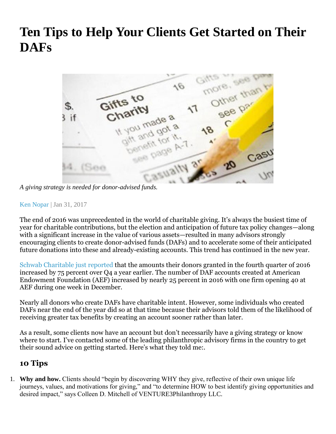## **Ten Tips to Help Your Clients Get Started on Their DAFs**



*A giving strategy is needed for donor-advised funds.* 

[Ken Nopar](http://www.wealthmanagement.com/author/ken-nopar) | Jan 31, 2017

The end of 2016 was unprecedented in the world of charitable giving. It's always the busiest time of year for charitable contributions, but the election and anticipation of future tax policy changes—along with a significant increase in the value of various assets—resulted in many advisors strongly encouraging clients to create donor-advised funds (DAFs) and to accelerate some of their anticipated future donations into these and already-existing accounts. This trend has continued in the new year.

[Schwab Charitable just reported](http://www.wealthmanagement.com/philanthropy/1.www.businesswire.com/news/home/20170124005387/en/Schwab-Charitable-Facilitates-Record-1.5-Billion-Grants) that the amounts their donors granted in the fourth quarter of 2016 increased by 75 percent over Q4 a year earlier. The number of DAF accounts created at American Endowment Foundation (AEF) increased by nearly 25 percent in 2016 with one firm opening 40 at AEF during one week in December.

Nearly all donors who create DAFs have charitable intent. However, some individuals who created DAFs near the end of the year did so at that time because their advisors told them of the likelihood of receiving greater tax benefits by creating an account sooner rather than later.

As a result, some clients now have an account but don't necessarily have a giving strategy or know where to start. I've contacted some of the leading philanthropic advisory firms in the country to get their sound advice on getting started. Here's what they told me:.

## **10 Tips**

1. **Why and how.** Clients should "begin by discovering WHY they give, reflective of their own unique life journeys, values, and motivations for giving," and "to determine HOW to best identify giving opportunities and desired impact," says Colleen D. Mitchell of VENTURE3Philanthropy LLC.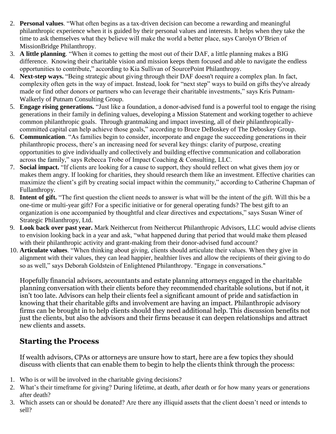- 2. **Personal values**. "What often begins as a tax-driven decision can become a rewarding and meaningful philanthropic experience when it is guided by their personal values and interests. It helps when they take the time to ask themselves what they believe will make the world a better place, says Carolyn O'Brien of MissionBridge Philanthropy.
- 3. **A little planning**. "When it comes to getting the most out of their DAF, a little planning makes a BIG difference. Knowing their charitable vision and mission keeps them focused and able to navigate the endless opportunities to contribute," according to Kia Sullivan of SourcePoint Philanthropy.
- 4. **Next-step ways.** "Being strategic about giving through their DAF doesn't require a complex plan. In fact, complexity often gets in the way of impact. Instead, look for "next step" ways to build on gifts they've already made or find other donors or partners who can leverage their charitable investments," says Kris Putnam-Walkerly of Putnam Consulting Group.
- 5. **Engage rising generations.** "Just like a foundation, a donor-advised fund is a powerful tool to engage the rising generations in their family in defining values, developing a Mission Statement and working together to achieve common philanthropic goals. Through grantmaking and impact investing, all of their philanthropicallycommitted capital can help achieve those goals," according to Bruce DeBoskey of The Deboskey Group.
- 6. **Communication**. "As families begin to consider, incorporate and engage the succeeding generations in their philanthropic process, there's an increasing need for several key things: clarity of purpose, creating opportunities to give individually and collectively and building effective communication and collaboration across the family," says Rebecca Trobe of Impact Coaching & Consulting, LLC.
- 7. **Social impact.** "If clients are looking for a cause to support, they should reflect on what gives them joy or makes them angry. If looking for charities, they should research them like an investment. Effective charities can maximize the client's gift by creating social impact within the community," according to Catherine Chapman of Fullanthropy.
- 8. **Intent of gift.** "The first question the client needs to answer is what will be the intent of the gift. Will this be a one-time or multi-year gift? For a specific initiative or for general operating funds? The best gift to an organization is one accompanied by thoughtful and clear directives and expectations," says Susan Winer of Strategic Philanthropy, Ltd.
- 9. **Look back over past year.** Mark Neithercut from Neithercut Philanthropic Advisors, LLC would advise clients to envision looking back in a year and ask, "what happened during that period that would make them pleased with their philanthropic activity and grant-making from their donor-advised fund account?
- 10. **Articulate values**. "When thinking about giving, clients should articulate their values. When they give in alignment with their values, they can lead happier, healthier lives and allow the recipients of their giving to do so as well," says Deborah Goldstein of Enlightened Philanthropy. "Engage in conversations."

Hopefully financial advisors, accountants and estate planning attorneys engaged in the charitable planning conversation with their clients before they recommended charitable solutions, but if not, it isn't too late. Advisors can help their clients feel a significant amount of pride and satisfaction in knowing that their charitable gifts and involvement are having an impact. Philanthropic advisory firms can be brought in to help clients should they need additional help. This discussion benefits not just the clients, but also the advisors and their firms because it can deepen relationships and attract new clients and assets.

## **Starting the Process**

If wealth advisors, CPAs or attorneys are unsure how to start, here are a few topics they should discuss with clients that can enable them to begin to help the clients think through the process:

- 1. Who is or will be involved in the charitable giving decisions?
- 2. What's their timeframe for giving? During lifetime, at death, after death or for how many years or generations after death?
- 3. Which assets can or should be donated? Are there any illiquid assets that the client doesn't need or intends to sell?